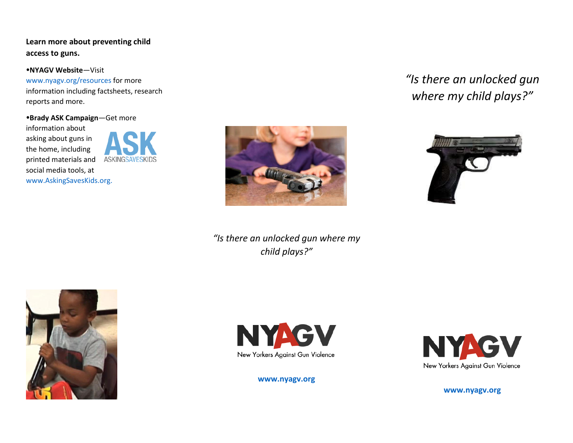**Learn more about preventing child access to guns.**

**NYAGV Website**—Visit

[www.nyagv.org/resources](http://www.nyagv.org/resources) for more information including factsheets, research reports and more.

**Brady ASK Campaign**—Get more information about asking about guns in the home, including printed materials and social media tools, at

[www.AskingSavesKids.org.](http://www.askingsaveskids.org/)





*"Is there an unlocked gun where my child plays?"*



*"Is there an unlocked gun* 







**[www.nyagv.org](http://www.nyagv.org/)**



**[www.nyagv.org](http://www.nyagv.org/)**